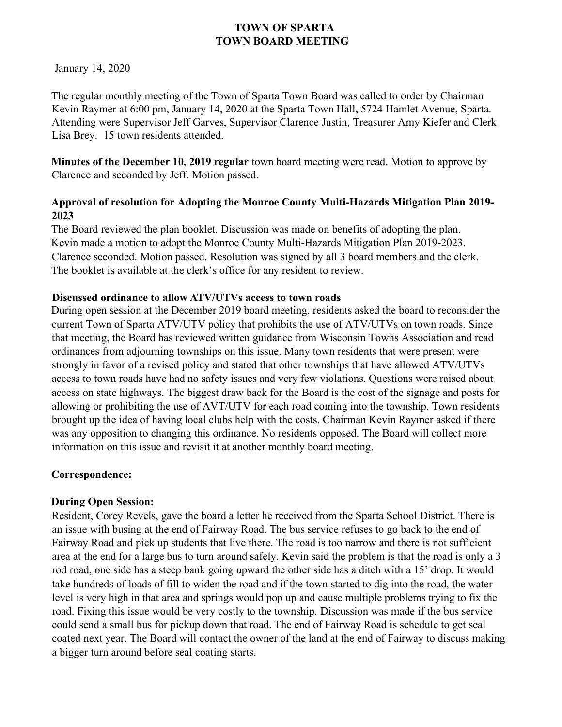January 14, 2020

The regular monthly meeting of the Town of Sparta Town Board was called to order by Chairman Kevin Raymer at 6:00 pm, January 14, 2020 at the Sparta Town Hall, 5724 Hamlet Avenue, Sparta. Attending were Supervisor Jeff Garves, Supervisor Clarence Justin, Treasurer Amy Kiefer and Clerk Lisa Brey. 15 town residents attended.

**Minutes of the December 10, 2019 regular** town board meeting were read. Motion to approve by Clarence and seconded by Jeff. Motion passed.

### **Approval of resolution for Adopting the Monroe County Multi-Hazards Mitigation Plan 2019- 2023**

The Board reviewed the plan booklet. Discussion was made on benefits of adopting the plan. Kevin made a motion to adopt the Monroe County Multi-Hazards Mitigation Plan 2019-2023. Clarence seconded. Motion passed. Resolution was signed by all 3 board members and the clerk. The booklet is available at the clerk's office for any resident to review.

### **Discussed ordinance to allow ATV/UTVs access to town roads**

During open session at the December 2019 board meeting, residents asked the board to reconsider the current Town of Sparta ATV/UTV policy that prohibits the use of ATV/UTVs on town roads. Since that meeting, the Board has reviewed written guidance from Wisconsin Towns Association and read ordinances from adjourning townships on this issue. Many town residents that were present were strongly in favor of a revised policy and stated that other townships that have allowed ATV/UTVs access to town roads have had no safety issues and very few violations. Questions were raised about access on state highways. The biggest draw back for the Board is the cost of the signage and posts for allowing or prohibiting the use of AVT/UTV for each road coming into the township. Town residents brought up the idea of having local clubs help with the costs. Chairman Kevin Raymer asked if there was any opposition to changing this ordinance. No residents opposed. The Board will collect more information on this issue and revisit it at another monthly board meeting.

### **Correspondence:**

## **During Open Session:**

Resident, Corey Revels, gave the board a letter he received from the Sparta School District. There is an issue with busing at the end of Fairway Road. The bus service refuses to go back to the end of Fairway Road and pick up students that live there. The road is too narrow and there is not sufficient area at the end for a large bus to turn around safely. Kevin said the problem is that the road is only a 3 rod road, one side has a steep bank going upward the other side has a ditch with a 15' drop. It would take hundreds of loads of fill to widen the road and if the town started to dig into the road, the water level is very high in that area and springs would pop up and cause multiple problems trying to fix the road. Fixing this issue would be very costly to the township. Discussion was made if the bus service could send a small bus for pickup down that road. The end of Fairway Road is schedule to get seal coated next year. The Board will contact the owner of the land at the end of Fairway to discuss making a bigger turn around before seal coating starts.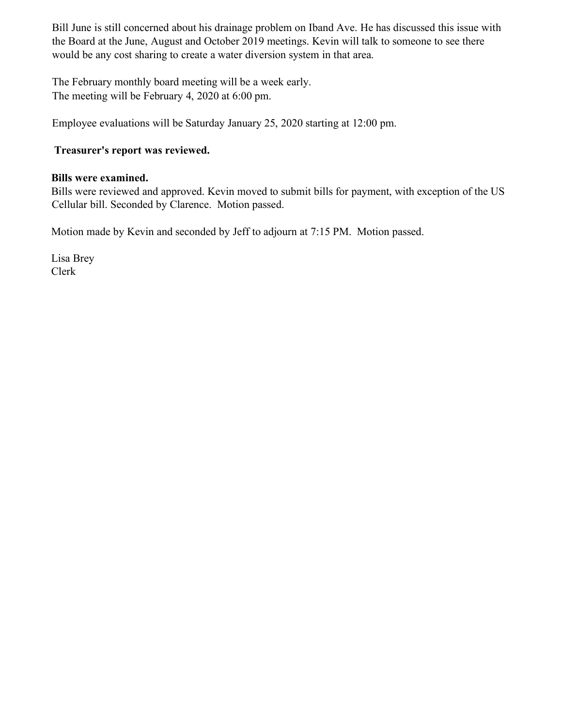Bill June is still concerned about his drainage problem on Iband Ave. He has discussed this issue with the Board at the June, August and October 2019 meetings. Kevin will talk to someone to see there would be any cost sharing to create a water diversion system in that area.

The February monthly board meeting will be a week early. The meeting will be February 4, 2020 at 6:00 pm.

Employee evaluations will be Saturday January 25, 2020 starting at 12:00 pm.

### **Treasurer's report was reviewed.**

### **Bills were examined.**

Bills were reviewed and approved. Kevin moved to submit bills for payment, with exception of the US Cellular bill. Seconded by Clarence. Motion passed.

Motion made by Kevin and seconded by Jeff to adjourn at 7:15 PM. Motion passed.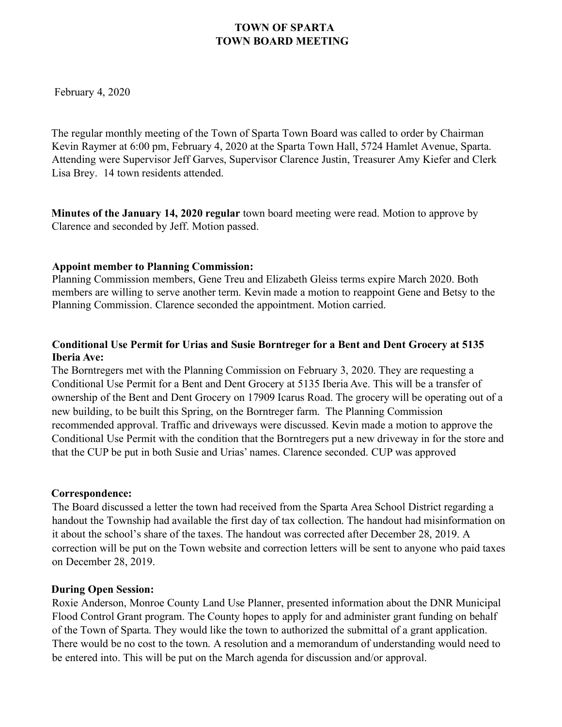February 4, 2020

The regular monthly meeting of the Town of Sparta Town Board was called to order by Chairman Kevin Raymer at 6:00 pm, February 4, 2020 at the Sparta Town Hall, 5724 Hamlet Avenue, Sparta. Attending were Supervisor Jeff Garves, Supervisor Clarence Justin, Treasurer Amy Kiefer and Clerk Lisa Brey. 14 town residents attended.

**Minutes of the January 14, 2020 regular** town board meeting were read. Motion to approve by Clarence and seconded by Jeff. Motion passed.

#### **Appoint member to Planning Commission:**

Planning Commission members, Gene Treu and Elizabeth Gleiss terms expire March 2020. Both members are willing to serve another term. Kevin made a motion to reappoint Gene and Betsy to the Planning Commission. Clarence seconded the appointment. Motion carried.

### **Conditional Use Permit for Urias and Susie Borntreger for a Bent and Dent Grocery at 5135 Iberia Ave:**

The Borntregers met with the Planning Commission on February 3, 2020. They are requesting a Conditional Use Permit for a Bent and Dent Grocery at 5135 Iberia Ave. This will be a transfer of ownership of the Bent and Dent Grocery on 17909 Icarus Road. The grocery will be operating out of a new building, to be built this Spring, on the Borntreger farm. The Planning Commission recommended approval. Traffic and driveways were discussed. Kevin made a motion to approve the Conditional Use Permit with the condition that the Borntregers put a new driveway in for the store and that the CUP be put in both Susie and Urias' names. Clarence seconded. CUP was approved

### **Correspondence:**

The Board discussed a letter the town had received from the Sparta Area School District regarding a handout the Township had available the first day of tax collection. The handout had misinformation on it about the school's share of the taxes. The handout was corrected after December 28, 2019. A correction will be put on the Town website and correction letters will be sent to anyone who paid taxes on December 28, 2019.

### **During Open Session:**

Roxie Anderson, Monroe County Land Use Planner, presented information about the DNR Municipal Flood Control Grant program. The County hopes to apply for and administer grant funding on behalf of the Town of Sparta. They would like the town to authorized the submittal of a grant application. There would be no cost to the town. A resolution and a memorandum of understanding would need to be entered into. This will be put on the March agenda for discussion and/or approval.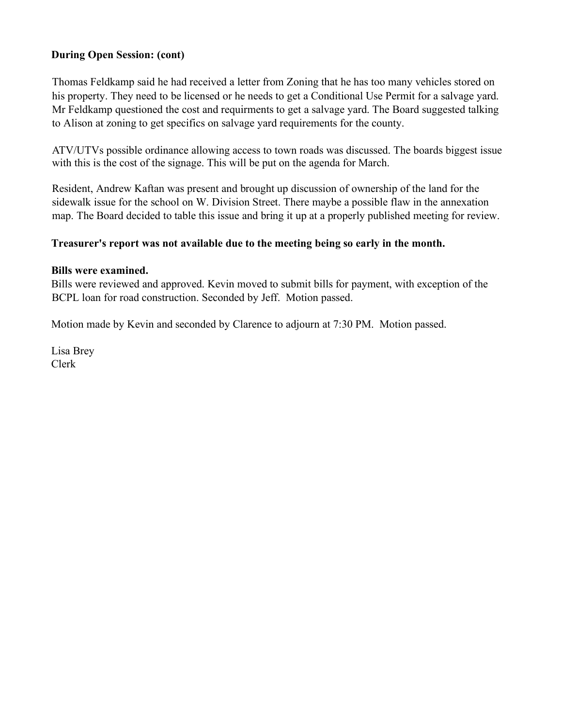### **During Open Session: (cont)**

Thomas Feldkamp said he had received a letter from Zoning that he has too many vehicles stored on his property. They need to be licensed or he needs to get a Conditional Use Permit for a salvage yard. Mr Feldkamp questioned the cost and requirments to get a salvage yard. The Board suggested talking to Alison at zoning to get specifics on salvage yard requirements for the county.

ATV/UTVs possible ordinance allowing access to town roads was discussed. The boards biggest issue with this is the cost of the signage. This will be put on the agenda for March.

Resident, Andrew Kaftan was present and brought up discussion of ownership of the land for the sidewalk issue for the school on W. Division Street. There maybe a possible flaw in the annexation map. The Board decided to table this issue and bring it up at a properly published meeting for review.

#### **Treasurer's report was not available due to the meeting being so early in the month.**

#### **Bills were examined.**

Bills were reviewed and approved. Kevin moved to submit bills for payment, with exception of the BCPL loan for road construction. Seconded by Jeff. Motion passed.

Motion made by Kevin and seconded by Clarence to adjourn at 7:30 PM. Motion passed.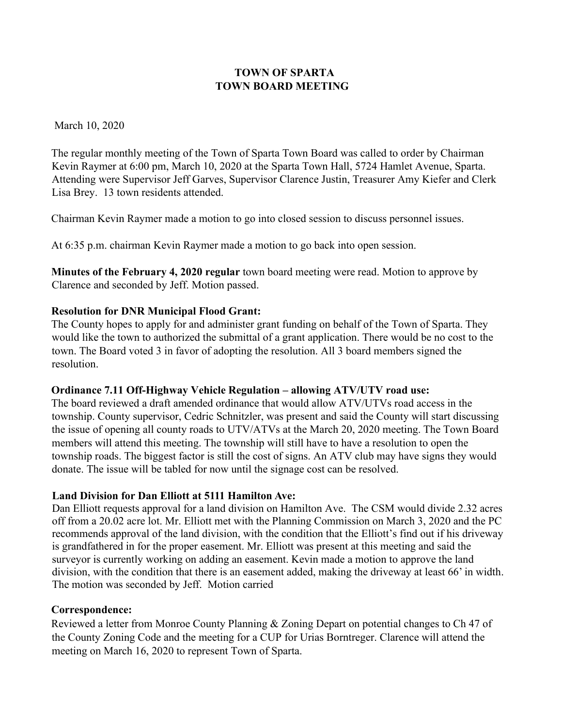#### March 10, 2020

The regular monthly meeting of the Town of Sparta Town Board was called to order by Chairman Kevin Raymer at 6:00 pm, March 10, 2020 at the Sparta Town Hall, 5724 Hamlet Avenue, Sparta. Attending were Supervisor Jeff Garves, Supervisor Clarence Justin, Treasurer Amy Kiefer and Clerk Lisa Brey. 13 town residents attended.

Chairman Kevin Raymer made a motion to go into closed session to discuss personnel issues.

At 6:35 p.m. chairman Kevin Raymer made a motion to go back into open session.

**Minutes of the February 4, 2020 regular** town board meeting were read. Motion to approve by Clarence and seconded by Jeff. Motion passed.

### **Resolution for DNR Municipal Flood Grant:**

The County hopes to apply for and administer grant funding on behalf of the Town of Sparta. They would like the town to authorized the submittal of a grant application. There would be no cost to the town. The Board voted 3 in favor of adopting the resolution. All 3 board members signed the resolution.

### **Ordinance 7.11 Off-Highway Vehicle Regulation – allowing ATV/UTV road use:**

The board reviewed a draft amended ordinance that would allow ATV/UTVs road access in the township. County supervisor, Cedric Schnitzler, was present and said the County will start discussing the issue of opening all county roads to UTV/ATVs at the March 20, 2020 meeting. The Town Board members will attend this meeting. The township will still have to have a resolution to open the township roads. The biggest factor is still the cost of signs. An ATV club may have signs they would donate. The issue will be tabled for now until the signage cost can be resolved.

#### **Land Division for Dan Elliott at 5111 Hamilton Ave:**

Dan Elliott requests approval for a land division on Hamilton Ave. The CSM would divide 2.32 acres off from a 20.02 acre lot. Mr. Elliott met with the Planning Commission on March 3, 2020 and the PC recommends approval of the land division, with the condition that the Elliott's find out if his driveway is grandfathered in for the proper easement. Mr. Elliott was present at this meeting and said the surveyor is currently working on adding an easement. Kevin made a motion to approve the land division, with the condition that there is an easement added, making the driveway at least 66' in width. The motion was seconded by Jeff. Motion carried

### **Correspondence:**

Reviewed a letter from Monroe County Planning & Zoning Depart on potential changes to Ch 47 of the County Zoning Code and the meeting for a CUP for Urias Borntreger. Clarence will attend the meeting on March 16, 2020 to represent Town of Sparta.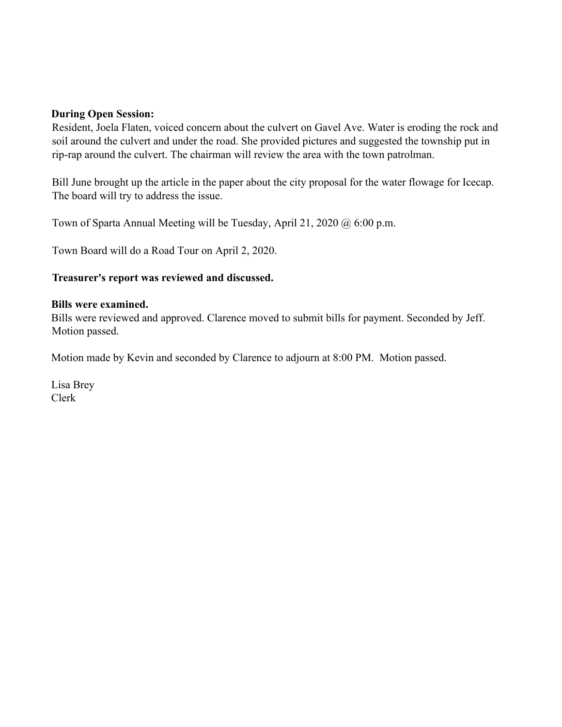#### **During Open Session:**

Resident, Joela Flaten, voiced concern about the culvert on Gavel Ave. Water is eroding the rock and soil around the culvert and under the road. She provided pictures and suggested the township put in rip-rap around the culvert. The chairman will review the area with the town patrolman.

Bill June brought up the article in the paper about the city proposal for the water flowage for Icecap. The board will try to address the issue.

Town of Sparta Annual Meeting will be Tuesday, April 21, 2020 @ 6:00 p.m.

Town Board will do a Road Tour on April 2, 2020.

#### **Treasurer's report was reviewed and discussed.**

#### **Bills were examined.**

Bills were reviewed and approved. Clarence moved to submit bills for payment. Seconded by Jeff. Motion passed.

Motion made by Kevin and seconded by Clarence to adjourn at 8:00 PM. Motion passed.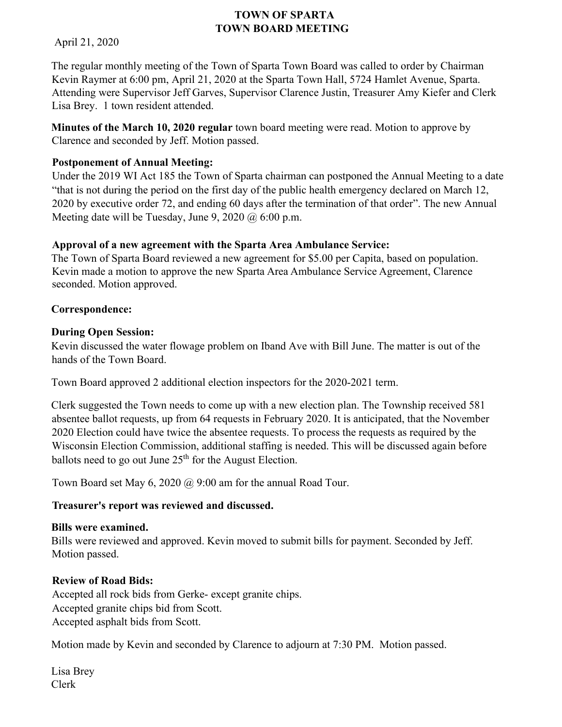April 21, 2020

The regular monthly meeting of the Town of Sparta Town Board was called to order by Chairman Kevin Raymer at 6:00 pm, April 21, 2020 at the Sparta Town Hall, 5724 Hamlet Avenue, Sparta. Attending were Supervisor Jeff Garves, Supervisor Clarence Justin, Treasurer Amy Kiefer and Clerk Lisa Brey. 1 town resident attended.

**Minutes of the March 10, 2020 regular** town board meeting were read. Motion to approve by Clarence and seconded by Jeff. Motion passed.

### **Postponement of Annual Meeting:**

Under the 2019 WI Act 185 the Town of Sparta chairman can postponed the Annual Meeting to a date "that is not during the period on the first day of the public health emergency declared on March 12, 2020 by executive order 72, and ending 60 days after the termination of that order". The new Annual Meeting date will be Tuesday, June 9, 2020  $\omega$  6:00 p.m.

### **Approval of a new agreement with the Sparta Area Ambulance Service:**

The Town of Sparta Board reviewed a new agreement for \$5.00 per Capita, based on population. Kevin made a motion to approve the new Sparta Area Ambulance Service Agreement, Clarence seconded. Motion approved.

### **Correspondence:**

### **During Open Session:**

Kevin discussed the water flowage problem on Iband Ave with Bill June. The matter is out of the hands of the Town Board.

Town Board approved 2 additional election inspectors for the 2020-2021 term.

Clerk suggested the Town needs to come up with a new election plan. The Township received 581 absentee ballot requests, up from 64 requests in February 2020. It is anticipated, that the November 2020 Election could have twice the absentee requests. To process the requests as required by the Wisconsin Election Commission, additional staffing is needed. This will be discussed again before ballots need to go out June  $25<sup>th</sup>$  for the August Election.

Town Board set May 6, 2020 @ 9:00 am for the annual Road Tour.

### **Treasurer's report was reviewed and discussed.**

### **Bills were examined.**

Bills were reviewed and approved. Kevin moved to submit bills for payment. Seconded by Jeff. Motion passed.

### **Review of Road Bids:**

Accepted all rock bids from Gerke- except granite chips. Accepted granite chips bid from Scott. Accepted asphalt bids from Scott.

Motion made by Kevin and seconded by Clarence to adjourn at 7:30 PM. Motion passed.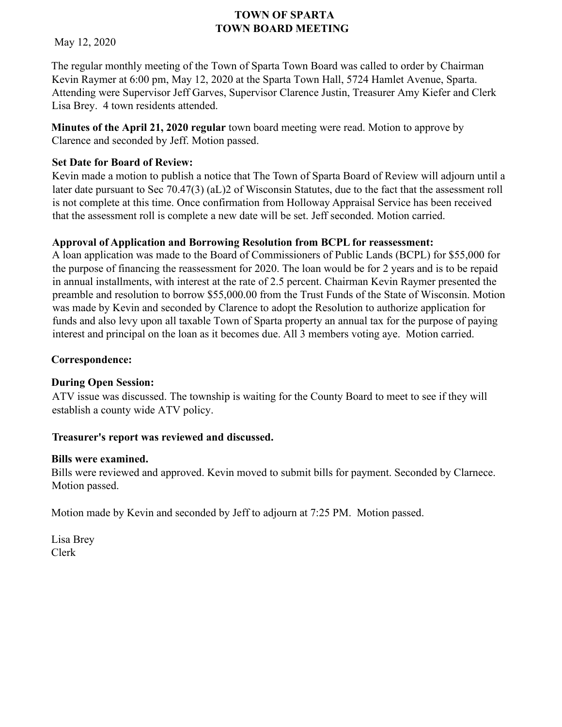May 12, 2020

The regular monthly meeting of the Town of Sparta Town Board was called to order by Chairman Kevin Raymer at 6:00 pm, May 12, 2020 at the Sparta Town Hall, 5724 Hamlet Avenue, Sparta. Attending were Supervisor Jeff Garves, Supervisor Clarence Justin, Treasurer Amy Kiefer and Clerk Lisa Brey. 4 town residents attended.

**Minutes of the April 21, 2020 regular** town board meeting were read. Motion to approve by Clarence and seconded by Jeff. Motion passed.

## **Set Date for Board of Review:**

Kevin made a motion to publish a notice that The Town of Sparta Board of Review will adjourn until a later date pursuant to Sec 70.47(3) (aL)2 of Wisconsin Statutes, due to the fact that the assessment roll is not complete at this time. Once confirmation from Holloway Appraisal Service has been received that the assessment roll is complete a new date will be set. Jeff seconded. Motion carried.

## **Approval of Application and Borrowing Resolution from BCPL for reassessment:**

A loan application was made to the Board of Commissioners of Public Lands (BCPL) for \$55,000 for the purpose of financing the reassessment for 2020. The loan would be for 2 years and is to be repaid in annual installments, with interest at the rate of 2.5 percent. Chairman Kevin Raymer presented the preamble and resolution to borrow \$55,000.00 from the Trust Funds of the State of Wisconsin. Motion was made by Kevin and seconded by Clarence to adopt the Resolution to authorize application for funds and also levy upon all taxable Town of Sparta property an annual tax for the purpose of paying interest and principal on the loan as it becomes due. All 3 members voting aye. Motion carried.

## **Correspondence:**

## **During Open Session:**

ATV issue was discussed. The township is waiting for the County Board to meet to see if they will establish a county wide ATV policy.

## **Treasurer's report was reviewed and discussed.**

## **Bills were examined.**

Bills were reviewed and approved. Kevin moved to submit bills for payment. Seconded by Clarnece. Motion passed.

Motion made by Kevin and seconded by Jeff to adjourn at 7:25 PM. Motion passed.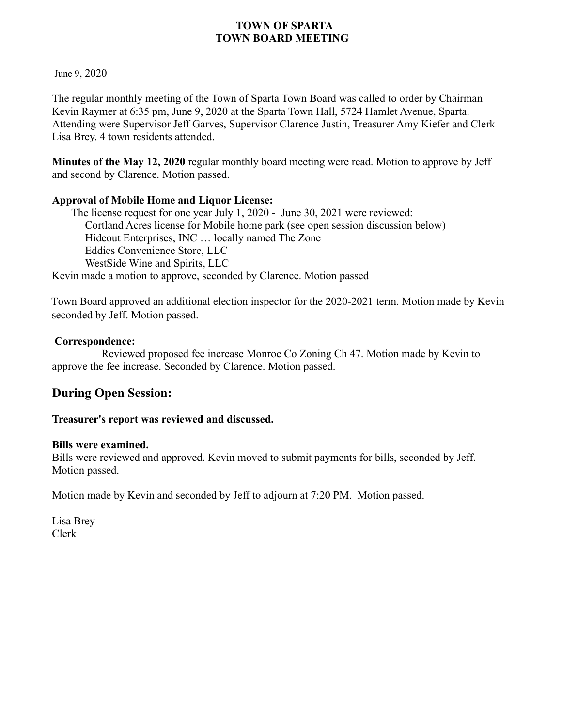June 9, 2020

The regular monthly meeting of the Town of Sparta Town Board was called to order by Chairman Kevin Raymer at 6:35 pm, June 9, 2020 at the Sparta Town Hall, 5724 Hamlet Avenue, Sparta. Attending were Supervisor Jeff Garves, Supervisor Clarence Justin, Treasurer Amy Kiefer and Clerk Lisa Brey. 4 town residents attended.

**Minutes of the May 12, 2020** regular monthly board meeting were read. Motion to approve by Jeff and second by Clarence. Motion passed.

### **Approval of Mobile Home and Liquor License:**

The license request for one year July 1, 2020 - June 30, 2021 were reviewed: Cortland Acres license for Mobile home park (see open session discussion below) Hideout Enterprises, INC … locally named The Zone Eddies Convenience Store, LLC WestSide Wine and Spirits, LLC Kevin made a motion to approve, seconded by Clarence. Motion passed

Town Board approved an additional election inspector for the 2020-2021 term. Motion made by Kevin seconded by Jeff. Motion passed.

### **Correspondence:**

 Reviewed proposed fee increase Monroe Co Zoning Ch 47. Motion made by Kevin to approve the fee increase. Seconded by Clarence. Motion passed.

# **During Open Session:**

### **Treasurer's report was reviewed and discussed.**

### **Bills were examined.**

Bills were reviewed and approved. Kevin moved to submit payments for bills, seconded by Jeff. Motion passed.

Motion made by Kevin and seconded by Jeff to adjourn at 7:20 PM. Motion passed.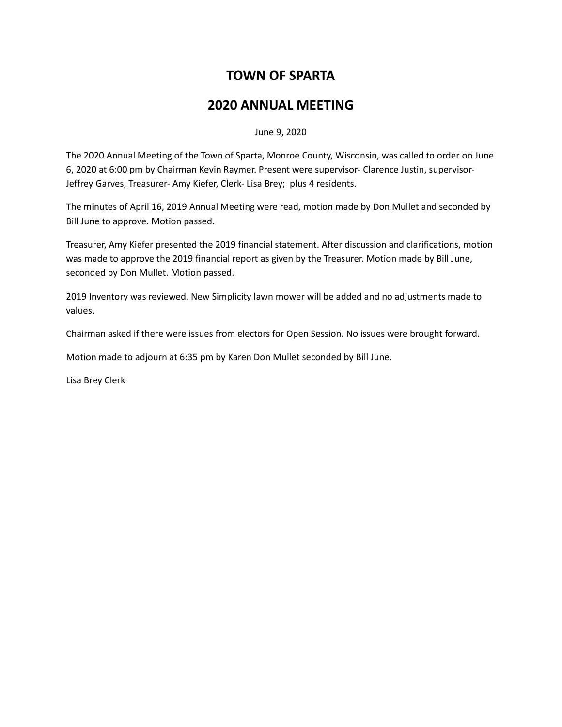# **TOWN OF SPARTA**

# **2020 ANNUAL MEETING**

June 9, 2020

The 2020 Annual Meeting of the Town of Sparta, Monroe County, Wisconsin, was called to order on June 6, 2020 at 6:00 pm by Chairman Kevin Raymer. Present were supervisor- Clarence Justin, supervisor-Jeffrey Garves, Treasurer- Amy Kiefer, Clerk- Lisa Brey; plus 4 residents.

The minutes of April 16, 2019 Annual Meeting were read, motion made by Don Mullet and seconded by Bill June to approve. Motion passed.

Treasurer, Amy Kiefer presented the 2019 financial statement. After discussion and clarifications, motion was made to approve the 2019 financial report as given by the Treasurer. Motion made by Bill June, seconded by Don Mullet. Motion passed.

2019 Inventory was reviewed. New Simplicity lawn mower will be added and no adjustments made to values.

Chairman asked if there were issues from electors for Open Session. No issues were brought forward.

Motion made to adjourn at 6:35 pm by Karen Don Mullet seconded by Bill June.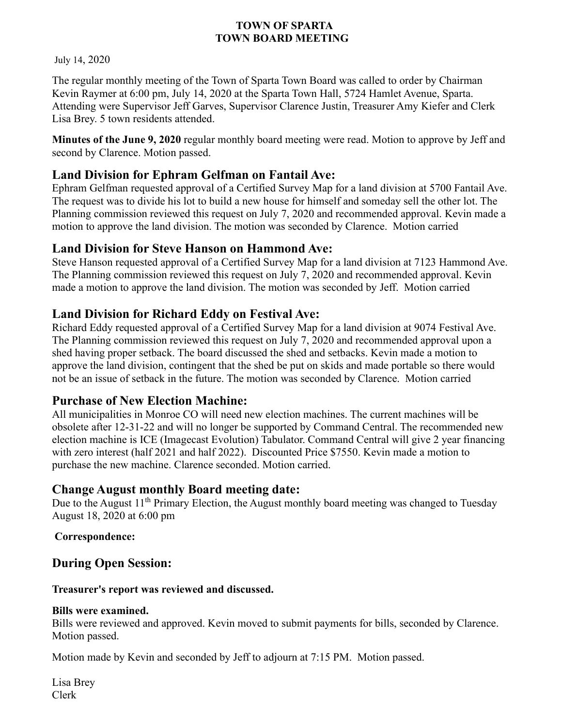July 14, 2020

The regular monthly meeting of the Town of Sparta Town Board was called to order by Chairman Kevin Raymer at 6:00 pm, July 14, 2020 at the Sparta Town Hall, 5724 Hamlet Avenue, Sparta. Attending were Supervisor Jeff Garves, Supervisor Clarence Justin, Treasurer Amy Kiefer and Clerk Lisa Brey. 5 town residents attended.

**Minutes of the June 9, 2020** regular monthly board meeting were read. Motion to approve by Jeff and second by Clarence. Motion passed.

# **Land Division for Ephram Gelfman on Fantail Ave:**

Ephram Gelfman requested approval of a Certified Survey Map for a land division at 5700 Fantail Ave. The request was to divide his lot to build a new house for himself and someday sell the other lot. The Planning commission reviewed this request on July 7, 2020 and recommended approval. Kevin made a motion to approve the land division. The motion was seconded by Clarence. Motion carried

## **Land Division for Steve Hanson on Hammond Ave:**

Steve Hanson requested approval of a Certified Survey Map for a land division at 7123 Hammond Ave. The Planning commission reviewed this request on July 7, 2020 and recommended approval. Kevin made a motion to approve the land division. The motion was seconded by Jeff. Motion carried

# **Land Division for Richard Eddy on Festival Ave:**

Richard Eddy requested approval of a Certified Survey Map for a land division at 9074 Festival Ave. The Planning commission reviewed this request on July 7, 2020 and recommended approval upon a shed having proper setback. The board discussed the shed and setbacks. Kevin made a motion to approve the land division, contingent that the shed be put on skids and made portable so there would not be an issue of setback in the future. The motion was seconded by Clarence. Motion carried

# **Purchase of New Election Machine:**

All municipalities in Monroe CO will need new election machines. The current machines will be obsolete after 12-31-22 and will no longer be supported by Command Central. The recommended new election machine is ICE (Imagecast Evolution) Tabulator. Command Central will give 2 year financing with zero interest (half 2021 and half 2022). Discounted Price \$7550. Kevin made a motion to purchase the new machine. Clarence seconded. Motion carried.

## **Change August monthly Board meeting date:**

Due to the August 11<sup>th</sup> Primary Election, the August monthly board meeting was changed to Tuesday August 18, 2020 at 6:00 pm

### **Correspondence:**

# **During Open Session:**

### **Treasurer's report was reviewed and discussed.**

### **Bills were examined.**

Bills were reviewed and approved. Kevin moved to submit payments for bills, seconded by Clarence. Motion passed.

Motion made by Kevin and seconded by Jeff to adjourn at 7:15 PM. Motion passed.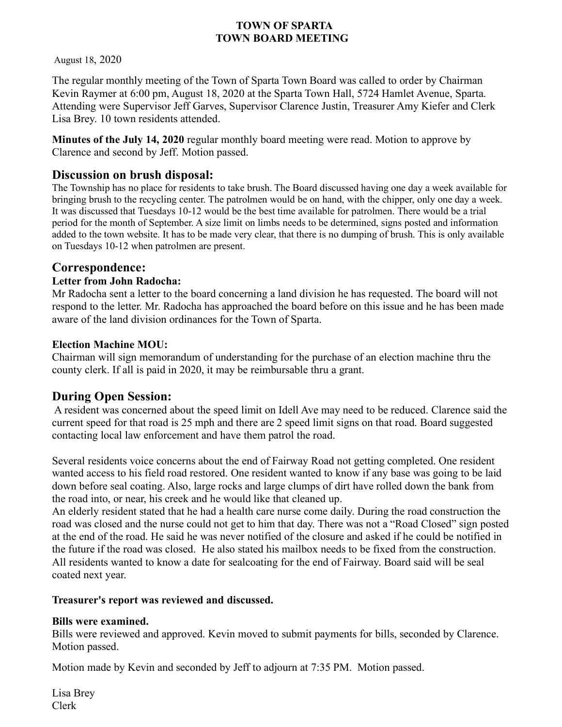August 18, 2020

The regular monthly meeting of the Town of Sparta Town Board was called to order by Chairman Kevin Raymer at 6:00 pm, August 18, 2020 at the Sparta Town Hall, 5724 Hamlet Avenue, Sparta. Attending were Supervisor Jeff Garves, Supervisor Clarence Justin, Treasurer Amy Kiefer and Clerk Lisa Brey. 10 town residents attended.

**Minutes of the July 14, 2020** regular monthly board meeting were read. Motion to approve by Clarence and second by Jeff. Motion passed.

## **Discussion on brush disposal:**

The Township has no place for residents to take brush. The Board discussed having one day a week available for bringing brush to the recycling center. The patrolmen would be on hand, with the chipper, only one day a week. It was discussed that Tuesdays 10-12 would be the best time available for patrolmen. There would be a trial period for the month of September. A size limit on limbs needs to be determined, signs posted and information added to the town website. It has to be made very clear, that there is no dumping of brush. This is only available on Tuesdays 10-12 when patrolmen are present.

### **Correspondence:**

#### **Letter from John Radocha:**

Mr Radocha sent a letter to the board concerning a land division he has requested. The board will not respond to the letter. Mr. Radocha has approached the board before on this issue and he has been made aware of the land division ordinances for the Town of Sparta.

#### **Election Machine MOU:**

Chairman will sign memorandum of understanding for the purchase of an election machine thru the county clerk. If all is paid in 2020, it may be reimbursable thru a grant.

### **During Open Session:**

A resident was concerned about the speed limit on Idell Ave may need to be reduced. Clarence said the current speed for that road is 25 mph and there are 2 speed limit signs on that road. Board suggested contacting local law enforcement and have them patrol the road.

Several residents voice concerns about the end of Fairway Road not getting completed. One resident wanted access to his field road restored. One resident wanted to know if any base was going to be laid down before seal coating. Also, large rocks and large clumps of dirt have rolled down the bank from the road into, or near, his creek and he would like that cleaned up.

An elderly resident stated that he had a health care nurse come daily. During the road construction the road was closed and the nurse could not get to him that day. There was not a "Road Closed" sign posted at the end of the road. He said he was never notified of the closure and asked if he could be notified in the future if the road was closed. He also stated his mailbox needs to be fixed from the construction. All residents wanted to know a date for sealcoating for the end of Fairway. Board said will be seal coated next year.

### **Treasurer's report was reviewed and discussed.**

### **Bills were examined.**

Bills were reviewed and approved. Kevin moved to submit payments for bills, seconded by Clarence. Motion passed.

Motion made by Kevin and seconded by Jeff to adjourn at 7:35 PM. Motion passed.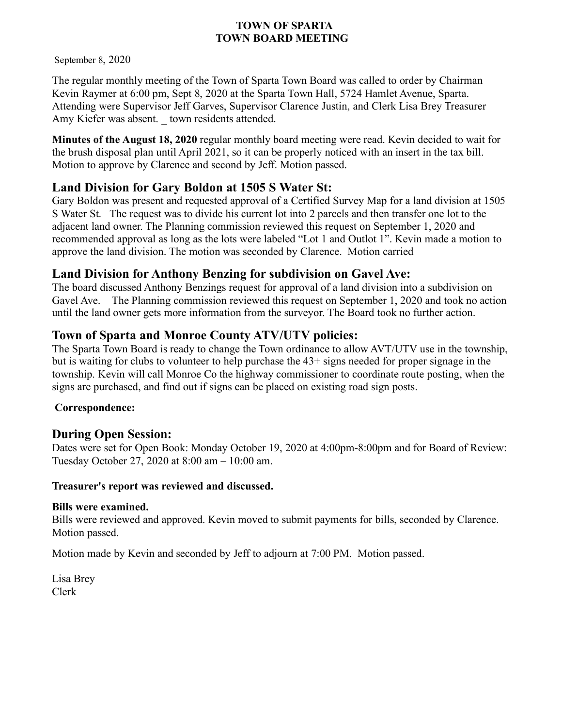September 8, 2020

The regular monthly meeting of the Town of Sparta Town Board was called to order by Chairman Kevin Raymer at 6:00 pm, Sept 8, 2020 at the Sparta Town Hall, 5724 Hamlet Avenue, Sparta. Attending were Supervisor Jeff Garves, Supervisor Clarence Justin, and Clerk Lisa Brey Treasurer Amy Kiefer was absent. \_ town residents attended.

**Minutes of the August 18, 2020** regular monthly board meeting were read. Kevin decided to wait for the brush disposal plan until April 2021, so it can be properly noticed with an insert in the tax bill. Motion to approve by Clarence and second by Jeff. Motion passed.

# **Land Division for Gary Boldon at 1505 S Water St:**

Gary Boldon was present and requested approval of a Certified Survey Map for a land division at 1505 S Water St. The request was to divide his current lot into 2 parcels and then transfer one lot to the adjacent land owner. The Planning commission reviewed this request on September 1, 2020 and recommended approval as long as the lots were labeled "Lot 1 and Outlot 1". Kevin made a motion to approve the land division. The motion was seconded by Clarence. Motion carried

# **Land Division for Anthony Benzing for subdivision on Gavel Ave:**

The board discussed Anthony Benzings request for approval of a land division into a subdivision on Gavel Ave. The Planning commission reviewed this request on September 1, 2020 and took no action until the land owner gets more information from the surveyor. The Board took no further action.

# **Town of Sparta and Monroe County ATV/UTV policies:**

The Sparta Town Board is ready to change the Town ordinance to allow AVT/UTV use in the township, but is waiting for clubs to volunteer to help purchase the 43+ signs needed for proper signage in the township. Kevin will call Monroe Co the highway commissioner to coordinate route posting, when the signs are purchased, and find out if signs can be placed on existing road sign posts.

## **Correspondence:**

# **During Open Session:**

Dates were set for Open Book: Monday October 19, 2020 at 4:00pm-8:00pm and for Board of Review: Tuesday October 27, 2020 at 8:00 am – 10:00 am.

### **Treasurer's report was reviewed and discussed.**

### **Bills were examined.**

Bills were reviewed and approved. Kevin moved to submit payments for bills, seconded by Clarence. Motion passed.

Motion made by Kevin and seconded by Jeff to adjourn at 7:00 PM. Motion passed.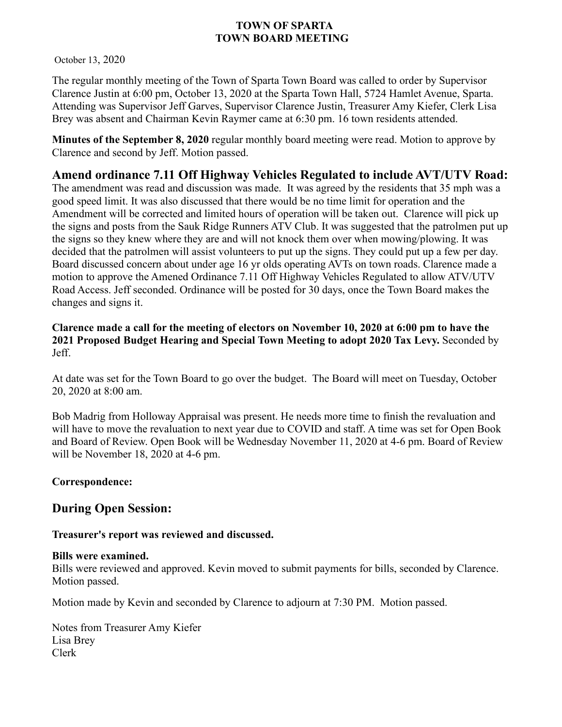October 13, 2020

The regular monthly meeting of the Town of Sparta Town Board was called to order by Supervisor Clarence Justin at 6:00 pm, October 13, 2020 at the Sparta Town Hall, 5724 Hamlet Avenue, Sparta. Attending was Supervisor Jeff Garves, Supervisor Clarence Justin, Treasurer Amy Kiefer, Clerk Lisa Brey was absent and Chairman Kevin Raymer came at 6:30 pm. 16 town residents attended.

**Minutes of the September 8, 2020** regular monthly board meeting were read. Motion to approve by Clarence and second by Jeff. Motion passed.

## **Amend ordinance 7.11 Off Highway Vehicles Regulated to include AVT/UTV Road:**

The amendment was read and discussion was made. It was agreed by the residents that 35 mph was a good speed limit. It was also discussed that there would be no time limit for operation and the Amendment will be corrected and limited hours of operation will be taken out. Clarence will pick up the signs and posts from the Sauk Ridge Runners ATV Club. It was suggested that the patrolmen put up the signs so they knew where they are and will not knock them over when mowing/plowing. It was decided that the patrolmen will assist volunteers to put up the signs. They could put up a few per day. Board discussed concern about under age 16 yr olds operating AVTs on town roads. Clarence made a motion to approve the Amened Ordinance 7.11 Off Highway Vehicles Regulated to allow ATV/UTV Road Access. Jeff seconded. Ordinance will be posted for 30 days, once the Town Board makes the changes and signs it.

**Clarence made a call for the meeting of electors on November 10, 2020 at 6:00 pm to have the 2021 Proposed Budget Hearing and Special Town Meeting to adopt 2020 Tax Levy.** Seconded by Jeff.

At date was set for the Town Board to go over the budget. The Board will meet on Tuesday, October 20, 2020 at 8:00 am.

Bob Madrig from Holloway Appraisal was present. He needs more time to finish the revaluation and will have to move the revaluation to next year due to COVID and staff. A time was set for Open Book and Board of Review. Open Book will be Wednesday November 11, 2020 at 4-6 pm. Board of Review will be November 18, 2020 at 4-6 pm.

### **Correspondence:**

## **During Open Session:**

**Treasurer's report was reviewed and discussed.** 

### **Bills were examined.**

Bills were reviewed and approved. Kevin moved to submit payments for bills, seconded by Clarence. Motion passed.

Motion made by Kevin and seconded by Clarence to adjourn at 7:30 PM. Motion passed.

Notes from Treasurer Amy Kiefer Lisa Brey Clerk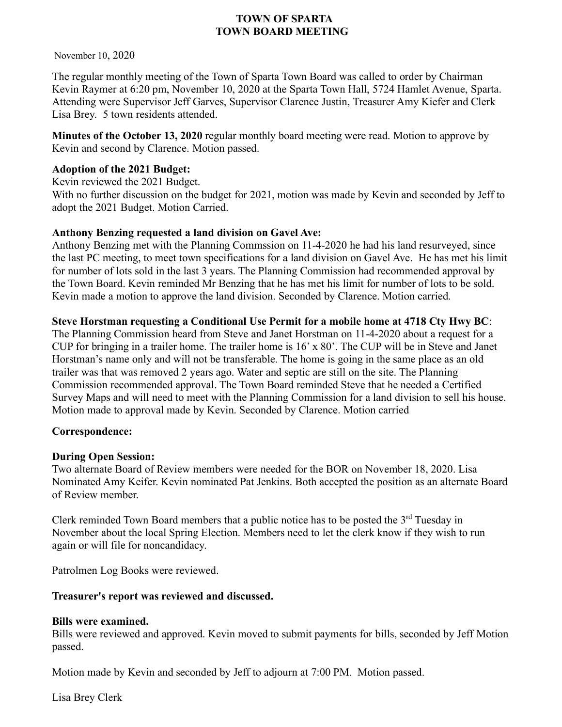November 10, 2020

The regular monthly meeting of the Town of Sparta Town Board was called to order by Chairman Kevin Raymer at 6:20 pm, November 10, 2020 at the Sparta Town Hall, 5724 Hamlet Avenue, Sparta. Attending were Supervisor Jeff Garves, Supervisor Clarence Justin, Treasurer Amy Kiefer and Clerk Lisa Brey. 5 town residents attended.

**Minutes of the October 13, 2020** regular monthly board meeting were read. Motion to approve by Kevin and second by Clarence. Motion passed.

### **Adoption of the 2021 Budget:**

Kevin reviewed the 2021 Budget. With no further discussion on the budget for 2021, motion was made by Kevin and seconded by Jeff to adopt the 2021 Budget. Motion Carried.

### **Anthony Benzing requested a land division on Gavel Ave:**

Anthony Benzing met with the Planning Commssion on 11-4-2020 he had his land resurveyed, since the last PC meeting, to meet town specifications for a land division on Gavel Ave. He has met his limit for number of lots sold in the last 3 years. The Planning Commission had recommended approval by the Town Board. Kevin reminded Mr Benzing that he has met his limit for number of lots to be sold. Kevin made a motion to approve the land division. Seconded by Clarence. Motion carried.

### **Steve Horstman requesting a Conditional Use Permit for a mobile home at 4718 Cty Hwy BC**:

The Planning Commission heard from Steve and Janet Horstman on 11-4-2020 about a request for a CUP for bringing in a trailer home. The trailer home is 16' x 80'. The CUP will be in Steve and Janet Horstman's name only and will not be transferable. The home is going in the same place as an old trailer was that was removed 2 years ago. Water and septic are still on the site. The Planning Commission recommended approval. The Town Board reminded Steve that he needed a Certified Survey Maps and will need to meet with the Planning Commission for a land division to sell his house. Motion made to approval made by Kevin. Seconded by Clarence. Motion carried

### **Correspondence:**

### **During Open Session:**

Two alternate Board of Review members were needed for the BOR on November 18, 2020. Lisa Nominated Amy Keifer. Kevin nominated Pat Jenkins. Both accepted the position as an alternate Board of Review member.

Clerk reminded Town Board members that a public notice has to be posted the  $3<sup>rd</sup>$  Tuesday in November about the local Spring Election. Members need to let the clerk know if they wish to run again or will file for noncandidacy.

Patrolmen Log Books were reviewed.

### **Treasurer's report was reviewed and discussed.**

### **Bills were examined.**

Bills were reviewed and approved. Kevin moved to submit payments for bills, seconded by Jeff Motion passed.

Motion made by Kevin and seconded by Jeff to adjourn at 7:00 PM. Motion passed.